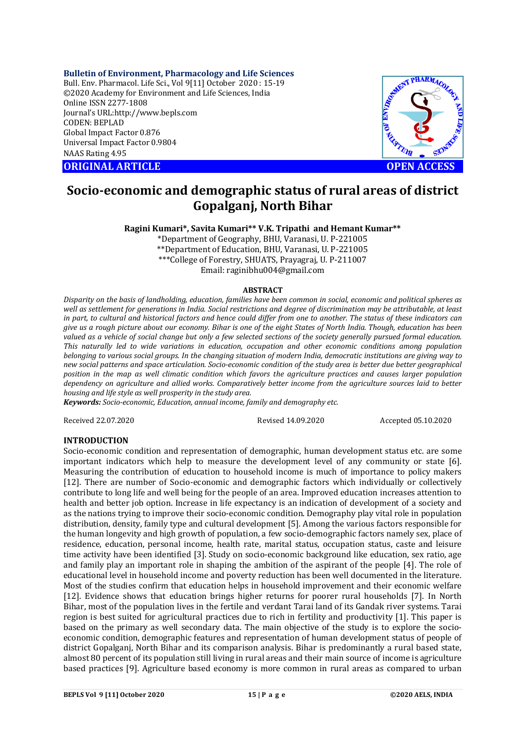## **Bulletin of Environment, Pharmacology and Life Sciences**

Bull. Env. Pharmacol. Life Sci., Vol 9[11] October 2020 : 15-19 ©2020 Academy for Environment and Life Sciences, India Online ISSN 2277-1808 Journal's URL:<http://www.bepls.com> CODEN: BEPLAD Global Impact Factor 0.876 Universal Impact Factor 0.9804 NAAS Rating 4.95

**ORIGINAL ARTICLE OPEN ACCESS**



# **Socio-economic and demographic status of rural areas of district Gopalganj, North Bihar**

# **Ragini Kumari\*, Savita Kumari\*\* V.K. Tripathi and Hemant Kumar\*\***

\*Department of Geography, BHU, Varanasi, U. P-221005 \*\*Department of Education, BHU, Varanasi, U. P-221005 \*\*\*College of Forestry, SHUATS, Prayagraj, U. P-211007 Email: [raginibhu004@gmail.com](mailto:raginibhu004@gmail.com)

#### **ABSTRACT**

*Disparity on the basis of landholding, education, families have been common in social, economic and political spheres as well as settlement for generations in India. Social restrictions and degree of discrimination may be attributable, at least in part, to cultural and historical factors and hence could differ from one to another. The status of these indicators can give us a rough picture about our economy. Bihar is one of the eight States of North India. Though, education has been valued as a vehicle of social change but only a few selected sections of the society generally pursued formal education. This naturally led to wide variations in education, occupation and other economic conditions among population belonging to various social groups. In the changing situation of modern India, democratic institutions are giving way to new social patterns and space articulation. Socio-economic condition of the study area is better due better geographical position in the map as well climatic condition which favors the agriculture practices and causes larger population dependency on agriculture and allied works. Comparatively better income from the agriculture sources laid to better housing and life style as well prosperity in the study area.* 

*Keywords: Socio-economic, Education, annual income, family and demography etc.*

Received 22.07.2020 Revised 14.09.2020 Accepted 05.10.2020

## **INTRODUCTION**

Socio-economic condition and representation of demographic, human development status etc. are some important indicators which help to measure the development level of any community or state [6]. Measuring the contribution of education to household income is much of importance to policy makers [12]. There are number of Socio-economic and demographic factors which individually or collectively contribute to long life and well being for the people of an area. Improved education increases attention to health and better job option. Increase in life expectancy is an indication of development of a society and as the nations trying to improve their socio-economic condition. Demography play vital role in population distribution, density, family type and cultural development [5]. Among the various factors responsible for the human longevity and high growth of population, a few socio-demographic factors namely sex, place of residence, education, personal income, health rate, marital status, occupation status, caste and leisure time activity have been identified [3]. Study on socio-economic background like education, sex ratio, age and family play an important role in shaping the ambition of the aspirant of the people [4]. The role of educational level in household income and poverty reduction has been well documented in the literature. Most of the studies confirm that education helps in household improvement and their economic welfare [12]. Evidence shows that education brings higher returns for poorer rural households [7]. In North Bihar, most of the population lives in the fertile and verdant Tarai land of its Gandak river systems. Tarai region is best suited for agricultural practices due to rich in fertility and productivity [1]. This paper is based on the primary as well secondary data. The main objective of the study is to explore the socioeconomic condition, demographic features and representation of human development status of people of district Gopalganj, North Bihar and its comparison analysis. Bihar is predominantly a rural based state, almost 80 percent of its population still living in rural areas and their main source of income is agriculture based practices [9]. Agriculture based economy is more common in rural areas as compared to urban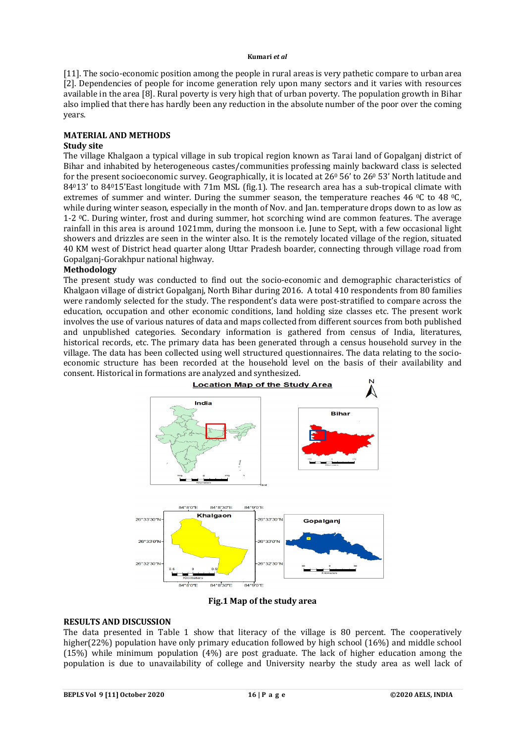[11]. The socio-economic position among the people in rural areas is very pathetic compare to urban area [2]. Dependencies of people for income generation rely upon many sectors and it varies with resources available in the area [8]. Rural poverty is very high that of urban poverty. The population growth in Bihar also implied that there has hardly been any reduction in the absolute number of the poor over the coming years.

# **MATERIAL AND METHODS**

## **Study site**

The village Khalgaon a typical village in sub tropical region known as Tarai land of Gopalganj district of Bihar and inhabited by heterogeneous castes/communities professing mainly backward class is selected for the present socioeconomic survey. Geographically, it is located at  $26^{\circ}$  56' to  $26^{\circ}$  53' North latitude and 84013' to 84015'East longitude with 71m MSL (fig.1). The research area has a sub-tropical climate with extremes of summer and winter. During the summer season, the temperature reaches 46 °C to 48 °C, while during winter season, especially in the month of Nov. and Jan. temperature drops down to as low as 1-2 0C. During winter, frost and during summer, hot scorching wind are common features. The average rainfall in this area is around 1021mm, during the monsoon i.e. June to Sept, with a few occasional light showers and drizzles are seen in the winter also. It is the remotely located village of the region, situated 40 KM west of District head quarter along Uttar Pradesh boarder, connecting through village road from Gopalganj-Gorakhpur national highway.

## **Methodology**

The present study was conducted to find out the socio-economic and demographic characteristics of Khalgaon village of district Gopalganj, North Bihar during 2016. A total 410 respondents from 80 families were randomly selected for the study. The respondent's data were post-stratified to compare across the education, occupation and other economic conditions, land holding size classes etc. The present work involves the use of various natures of data and maps collected from different sources from both published and unpublished categories. Secondary information is gathered from census of India, literatures, historical records, etc. The primary data has been generated through a census household survey in the village. The data has been collected using well structured questionnaires. The data relating to the socioeconomic structure has been recorded at the household level on the basis of their availability and consent. Historical in formations are analyzed and synthesized.



**Fig.1 Map of the study area**

# **RESULTS AND DISCUSSION**

The data presented in Table 1 show that literacy of the village is 80 percent. The cooperatively higher(22%) population have only primary education followed by high school (16%) and middle school (15%) while minimum population (4%) are post graduate. The lack of higher education among the population is due to unavailability of college and University nearby the study area as well lack of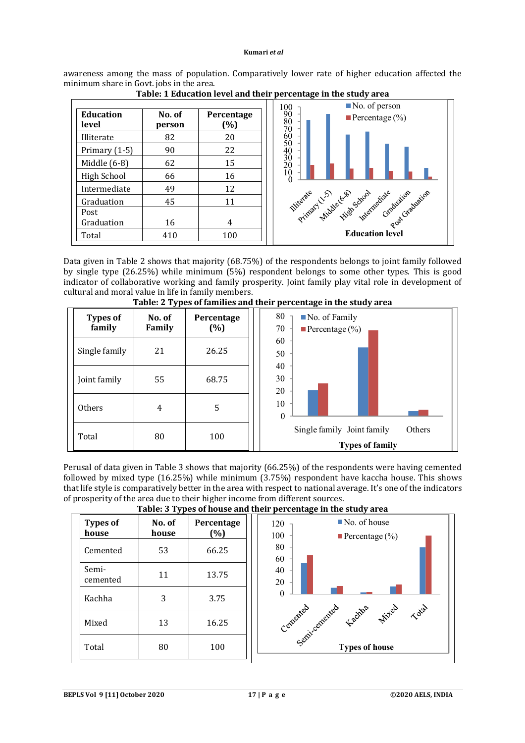awareness among the mass of population. Comparatively lower rate of higher education affected the minimum share in Govt. jobs in the area.



**Table: 1 Education level and their percentage in the study area**

Data given in Table 2 shows that majority (68.75%) of the respondents belongs to joint family followed by single type (26.25%) while minimum (5%) respondent belongs to some other types. This is good indicator of collaborative working and family prosperity. Joint family play vital role in development of cultural and moral value in life in family members.



**Table: 2 Types of families and their percentage in the study area**

Perusal of data given in Table 3 shows that majority (66.25%) of the respondents were having cemented followed by mixed type (16.25%) while minimum (3.75%) respondent have kaccha house. This shows that life style is comparatively better in the area with respect to national average. It's one of the indicators of prosperity of the area due to their higher income from different sources. **Table: 3 Types of house and their percentage in the study area**

| Tublet of Types of house and their percentage in the state, area |                 |                   |                                                                        |  |  |  |
|------------------------------------------------------------------|-----------------|-------------------|------------------------------------------------------------------------|--|--|--|
| <b>Types of</b><br>house                                         | No. of<br>house | Percentage<br>(%) | $\blacksquare$ No. of house<br>120<br>100<br><b>Percentage</b> $(\% )$ |  |  |  |
| Cemented                                                         | 53              | 66.25             | 80<br>60                                                               |  |  |  |
| Semi-<br>cemented                                                | 11              | 13.75             | 40<br>20                                                               |  |  |  |
| Kachha                                                           | 3               | 3.75              | Cenemical factors were deep                                            |  |  |  |
| Mixed                                                            | 13              | 16.25             |                                                                        |  |  |  |
| Total                                                            | 80              | 100               | <b>Types of house</b>                                                  |  |  |  |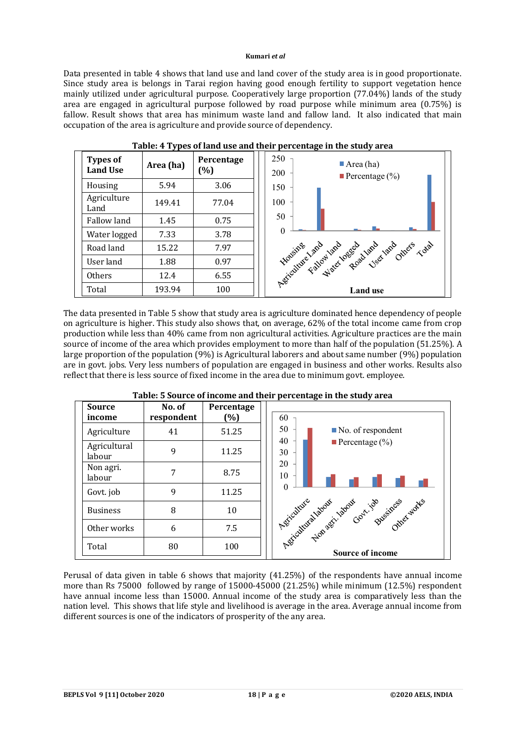Data presented in table 4 shows that land use and land cover of the study area is in good proportionate. Since study area is belongs in Tarai region having good enough fertility to support vegetation hence mainly utilized under agricultural purpose. Cooperatively large proportion (77.04%) lands of the study area are engaged in agricultural purpose followed by road purpose while minimum area (0.75%) is fallow. Result shows that area has minimum waste land and fallow land. It also indicated that main occupation of the area is agriculture and provide source of dependency.



**Table: 4 Types of land use and their percentage in the study area**

The data presented in Table 5 show that study area is agriculture dominated hence dependency of people on agriculture is higher. This study also shows that, on average, 62% of the total income came from crop production while less than 40% came from non agricultural activities. Agriculture practices are the main source of income of the area which provides employment to more than half of the population (51.25%). A large proportion of the population (9%) is Agricultural laborers and about same number (9%) population are in govt. jobs. Very less numbers of population are engaged in business and other works. Results also reflect that there is less source of fixed income in the area due to minimum govt. employee.



# **Table: 5 Source of income and their percentage in the study area**

Perusal of data given in table 6 shows that majority (41.25%) of the respondents have annual income more than Rs 75000 followed by range of 15000-45000 (21.25%) while minimum (12.5%) respondent have annual income less than 15000. Annual income of the study area is comparatively less than the nation level. This shows that life style and livelihood is average in the area. Average annual income from different sources is one of the indicators of prosperity of the any area.